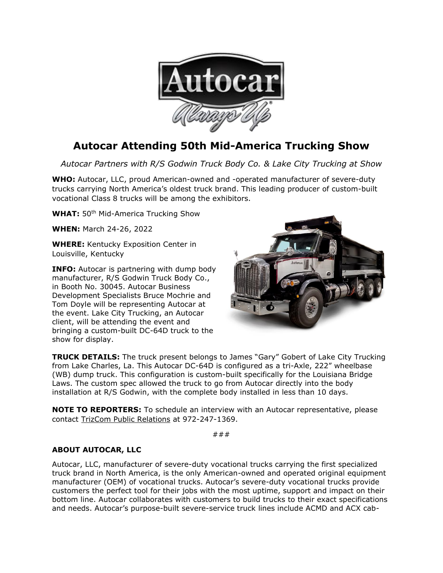

## **Autocar Attending 50th Mid-America Trucking Show**

*Autocar Partners with R/S Godwin Truck Body Co. & Lake City Trucking at Show*

**WHO:** Autocar, LLC, proud American-owned and -operated manufacturer of severe-duty trucks carrying North America's oldest truck brand. This leading producer of custom-built vocational Class 8 trucks will be among the exhibitors.

**WHAT:** 50<sup>th</sup> Mid-America Trucking Show

**WHEN:** March 24-26, 2022

**WHERE:** Kentucky Exposition Center in Louisville, Kentucky

**INFO:** Autocar is partnering with dump body manufacturer, R/S Godwin Truck Body Co., in Booth No. 30045. Autocar Business Development Specialists Bruce Mochrie and Tom Doyle will be representing Autocar at the event. Lake City Trucking, an Autocar client, will be attending the event and bringing a custom-built DC-64D truck to the show for display.



**TRUCK DETAILS:** The truck present belongs to James "Gary" Gobert of Lake City Trucking from Lake Charles, La. This Autocar DC-64D is configured as a tri-Axle, 222" wheelbase (WB) dump truck. This configuration is custom-built specifically for the Louisiana Bridge Laws. The custom spec allowed the truck to go from Autocar directly into the body installation at R/S Godwin, with the complete body installed in less than 10 days.

**NOTE TO REPORTERS:** To schedule an interview with an Autocar representative, please contact [TrizCom Public Relations](https://www.trizcom.com/?utm_source=Media+Alert&utm_medium=FLEETCON+2021&utm_campaign=Autocar+to+Showcase+DC-64R+Refuse+Truck+at+FLEETCON+2021+This+Month&utm_id=Autocar%2C+LLC) at 972-247-1369.

###

## **ABOUT AUTOCAR, LLC**

Autocar, LLC, manufacturer of severe-duty vocational trucks carrying the first specialized truck brand in North America, is the only American-owned and operated original equipment manufacturer (OEM) of vocational trucks. Autocar's severe-duty vocational trucks provide customers the perfect tool for their jobs with the most uptime, support and impact on their bottom line. Autocar collaborates with customers to build trucks to their exact specifications and needs. Autocar's purpose-built severe-service truck lines include ACMD and ACX cab